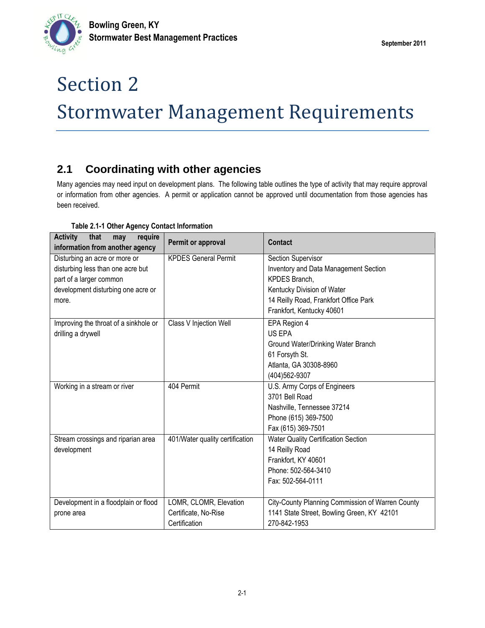# Section 2 Stormwater Management Requirements

## **2.1 Coordinating with other agencies**

Many agencies may need input on development plans. The following table outlines the type of activity that may require approval or information from other agencies. A permit or application cannot be approved until documentation from those agencies has been received.

| <b>Activity</b><br>that<br>require<br>may<br>information from another agency | Permit or approval              | Contact                                          |  |  |  |  |
|------------------------------------------------------------------------------|---------------------------------|--------------------------------------------------|--|--|--|--|
| Disturbing an acre or more or                                                | <b>KPDES General Permit</b>     | Section Supervisor                               |  |  |  |  |
| disturbing less than one acre but                                            |                                 | Inventory and Data Management Section            |  |  |  |  |
| part of a larger common                                                      |                                 | KPDES Branch,                                    |  |  |  |  |
| development disturbing one acre or                                           |                                 | Kentucky Division of Water                       |  |  |  |  |
| more.                                                                        |                                 | 14 Reilly Road, Frankfort Office Park            |  |  |  |  |
|                                                                              |                                 | Frankfort, Kentucky 40601                        |  |  |  |  |
| Improving the throat of a sinkhole or                                        | <b>Class V Injection Well</b>   | EPA Region 4                                     |  |  |  |  |
| drilling a drywell                                                           |                                 | US EPA                                           |  |  |  |  |
|                                                                              |                                 | Ground Water/Drinking Water Branch               |  |  |  |  |
|                                                                              |                                 | 61 Forsyth St.                                   |  |  |  |  |
|                                                                              |                                 | Atlanta, GA 30308-8960                           |  |  |  |  |
|                                                                              |                                 | (404)562-9307                                    |  |  |  |  |
| Working in a stream or river                                                 | 404 Permit                      | U.S. Army Corps of Engineers                     |  |  |  |  |
|                                                                              |                                 | 3701 Bell Road                                   |  |  |  |  |
|                                                                              |                                 | Nashville, Tennessee 37214                       |  |  |  |  |
|                                                                              |                                 | Phone (615) 369-7500                             |  |  |  |  |
|                                                                              |                                 | Fax (615) 369-7501                               |  |  |  |  |
| Stream crossings and riparian area                                           | 401/Water quality certification | Water Quality Certification Section              |  |  |  |  |
| development                                                                  |                                 | 14 Reilly Road                                   |  |  |  |  |
|                                                                              |                                 | Frankfort, KY 40601                              |  |  |  |  |
|                                                                              |                                 | Phone: 502-564-3410                              |  |  |  |  |
|                                                                              |                                 | Fax: 502-564-0111                                |  |  |  |  |
|                                                                              |                                 |                                                  |  |  |  |  |
| Development in a floodplain or flood                                         | LOMR, CLOMR, Elevation          | City-County Planning Commission of Warren County |  |  |  |  |
| prone area                                                                   | Certificate, No-Rise            | 1141 State Street, Bowling Green, KY 42101       |  |  |  |  |
|                                                                              | Certification                   | 270-842-1953                                     |  |  |  |  |

#### **Table 2.1-1 Other Agency Contact Information**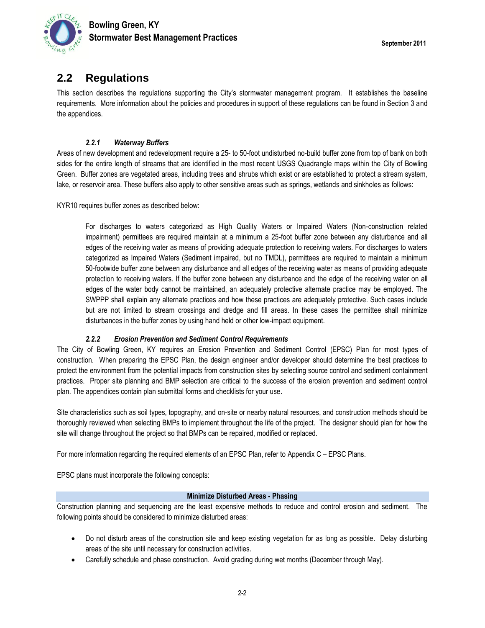

### **2.2 Regulations**

This section describes the regulations supporting the City's stormwater management program. It establishes the baseline requirements. More information about the policies and procedures in support of these regulations can be found in Section 3 and the appendices.

#### *2.2.1 Waterway Buffers*

Areas of new development and redevelopment require a 25- to 50-foot undisturbed no-build buffer zone from top of bank on both sides for the entire length of streams that are identified in the most recent USGS Quadrangle maps within the City of Bowling Green. Buffer zones are vegetated areas, including trees and shrubs which exist or are established to protect a stream system, lake, or reservoir area. These buffers also apply to other sensitive areas such as springs, wetlands and sinkholes as follows:

KYR10 requires buffer zones as described below:

For discharges to waters categorized as High Quality Waters or Impaired Waters (Non-construction related impairment) permittees are required maintain at a minimum a 25-foot buffer zone between any disturbance and all edges of the receiving water as means of providing adequate protection to receiving waters. For discharges to waters categorized as Impaired Waters (Sediment impaired, but no TMDL), permittees are required to maintain a minimum 50-footwide buffer zone between any disturbance and all edges of the receiving water as means of providing adequate protection to receiving waters. If the buffer zone between any disturbance and the edge of the receiving water on all edges of the water body cannot be maintained, an adequately protective alternate practice may be employed. The SWPPP shall explain any alternate practices and how these practices are adequately protective. Such cases include but are not limited to stream crossings and dredge and fill areas. In these cases the permittee shall minimize disturbances in the buffer zones by using hand held or other low-impact equipment.

#### *2.2.2 Erosion Prevention and Sediment Control Requirements*

The City of Bowling Green, KY requires an Erosion Prevention and Sediment Control (EPSC) Plan for most types of construction. When preparing the EPSC Plan, the design engineer and/or developer should determine the best practices to protect the environment from the potential impacts from construction sites by selecting source control and sediment containment practices. Proper site planning and BMP selection are critical to the success of the erosion prevention and sediment control plan. The appendices contain plan submittal forms and checklists for your use.

Site characteristics such as soil types, topography, and on-site or nearby natural resources, and construction methods should be thoroughly reviewed when selecting BMPs to implement throughout the life of the project. The designer should plan for how the site will change throughout the project so that BMPs can be repaired, modified or replaced.

For more information regarding the required elements of an EPSC Plan, refer to Appendix C – EPSC Plans.

EPSC plans must incorporate the following concepts:

#### **Minimize Disturbed Areas - Phasing**

Construction planning and sequencing are the least expensive methods to reduce and control erosion and sediment. The following points should be considered to minimize disturbed areas:

- Do not disturb areas of the construction site and keep existing vegetation for as long as possible. Delay disturbing areas of the site until necessary for construction activities.
- Carefully schedule and phase construction. Avoid grading during wet months (December through May).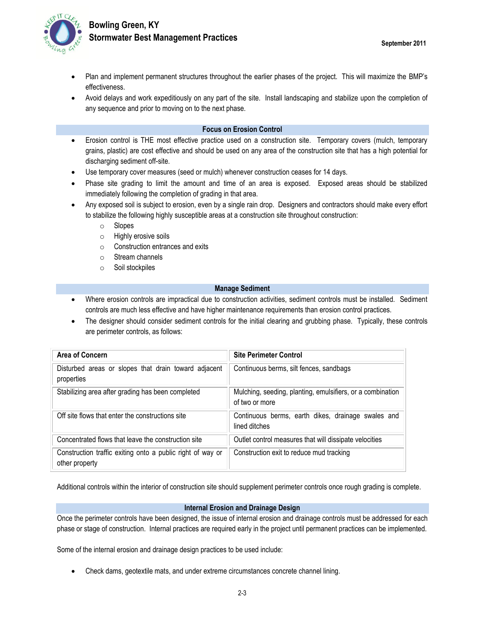

- Plan and implement permanent structures throughout the earlier phases of the project. This will maximize the BMP's effectiveness.
- Avoid delays and work expeditiously on any part of the site. Install landscaping and stabilize upon the completion of any sequence and prior to moving on to the next phase.

#### **Focus on Erosion Control**

- Erosion control is THE most effective practice used on a construction site. Temporary covers (mulch, temporary grains, plastic) are cost effective and should be used on any area of the construction site that has a high potential for discharging sediment off-site.
- Use temporary cover measures (seed or mulch) whenever construction ceases for 14 days.
- Phase site grading to limit the amount and time of an area is exposed. Exposed areas should be stabilized immediately following the completion of grading in that area.
- Any exposed soil is subject to erosion, even by a single rain drop. Designers and contractors should make every effort to stabilize the following highly susceptible areas at a construction site throughout construction:
	- o Slopes
	- o Highly erosive soils
	- $\circ$  Construction entrances and exits
	- o Stream channels
	- o Soil stockpiles

#### **Manage Sediment**

- Where erosion controls are impractical due to construction activities, sediment controls must be installed. Sediment controls are much less effective and have higher maintenance requirements than erosion control practices.
- The designer should consider sediment controls for the initial clearing and grubbing phase. Typically, these controls are perimeter controls, as follows:

| Area of Concern                                                              | <b>Site Perimeter Control</b>                                                |
|------------------------------------------------------------------------------|------------------------------------------------------------------------------|
| Disturbed areas or slopes that drain toward adjacent<br>properties           | Continuous berms, silt fences, sandbags                                      |
| Stabilizing area after grading has been completed                            | Mulching, seeding, planting, emulsifiers, or a combination<br>of two or more |
| Off site flows that enter the constructions site                             | Continuous berms, earth dikes, drainage swales and<br>lined ditches          |
| Concentrated flows that leave the construction site                          | Outlet control measures that will dissipate velocities                       |
| Construction traffic exiting onto a public right of way or<br>other property | Construction exit to reduce mud tracking                                     |

Additional controls within the interior of construction site should supplement perimeter controls once rough grading is complete.

#### **Internal Erosion and Drainage Design**

Once the perimeter controls have been designed, the issue of internal erosion and drainage controls must be addressed for each phase or stage of construction. Internal practices are required early in the project until permanent practices can be implemented.

Some of the internal erosion and drainage design practices to be used include:

Check dams, geotextile mats, and under extreme circumstances concrete channel lining.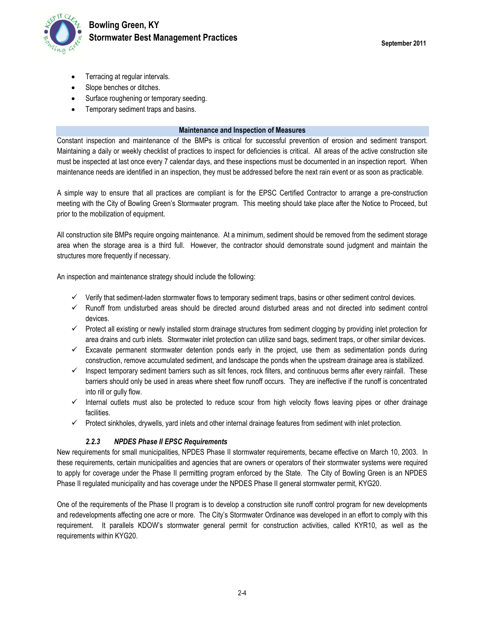

- Terracing at regular intervals.
- Slope benches or ditches.
- Surface roughening or temporary seeding.
- Temporary sediment traps and basins.

#### **Maintenance and Inspection of Measures**

Constant inspection and maintenance of the BMPs is critical for successful prevention of erosion and sediment transport. Maintaining a daily or weekly checklist of practices to inspect for deficiencies is critical. All areas of the active construction site must be inspected at last once every 7 calendar days, and these inspections must be documented in an inspection report. When maintenance needs are identified in an inspection, they must be addressed before the next rain event or as soon as practicable.

A simple way to ensure that all practices are compliant is for the EPSC Certified Contractor to arrange a pre-construction meeting with the City of Bowling Green's Stormwater program. This meeting should take place after the Notice to Proceed, but prior to the mobilization of equipment.

All construction site BMPs require ongoing maintenance. At a minimum, sediment should be removed from the sediment storage area when the storage area is a third full. However, the contractor should demonstrate sound judgment and maintain the structures more frequently if necessary.

An inspection and maintenance strategy should include the following:

- $\checkmark$  Verify that sediment-laden stormwater flows to temporary sediment traps, basins or other sediment control devices.
- $\checkmark$  Runoff from undisturbed areas should be directed around disturbed areas and not directed into sediment control devices.
- $\checkmark$  Protect all existing or newly installed storm drainage structures from sediment clogging by providing inlet protection for area drains and curb inlets. Stormwater inlet protection can utilize sand bags, sediment traps, or other similar devices.
- $\checkmark$  Excavate permanent stormwater detention ponds early in the project, use them as sedimentation ponds during construction, remove accumulated sediment, and landscape the ponds when the upstream drainage area is stabilized.
- $\checkmark$  Inspect temporary sediment barriers such as silt fences, rock filters, and continuous berms after every rainfall. These barriers should only be used in areas where sheet flow runoff occurs. They are ineffective if the runoff is concentrated into rill or gully flow.
- $\checkmark$  Internal outlets must also be protected to reduce scour from high velocity flows leaving pipes or other drainage facilities.
- $\checkmark$  Protect sinkholes, drywells, yard inlets and other internal drainage features from sediment with inlet protection.

#### *2.2.3 NPDES Phase II EPSC Requirements*

New requirements for small municipalities, NPDES Phase II stormwater requirements, became effective on March 10, 2003. In these requirements, certain municipalities and agencies that are owners or operators of their stormwater systems were required to apply for coverage under the Phase II permitting program enforced by the State. The City of Bowling Green is an NPDES Phase II regulated municipality and has coverage under the NPDES Phase II general stormwater permit, KYG20.

One of the requirements of the Phase II program is to develop a construction site runoff control program for new developments and redevelopments affecting one acre or more. The City's Stormwater Ordinance was developed in an effort to comply with this requirement. It parallels KDOW's stormwater general permit for construction activities, called KYR10, as well as the requirements within KYG20.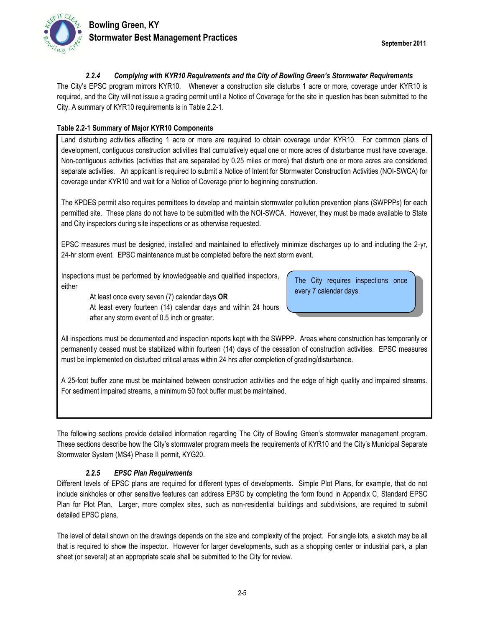

#### *2.2.4 Complying with KYR10 Requirements and the City of Bowling Green's Stormwater Requirements*

The City's EPSC program mirrors KYR10. Whenever a construction site disturbs 1 acre or more, coverage under KYR10 is required, and the City will not issue a grading permit until a Notice of Coverage for the site in question has been submitted to the City. A summary of KYR10 requirements is in Table 2.2-1.

#### **Table 2.2-1 Summary of Major KYR10 Components**

Land disturbing activities affecting 1 acre or more are required to obtain coverage under KYR10. For common plans of development, contiguous construction activities that cumulatively equal one or more acres of disturbance must have coverage. Non-contiguous activities (activities that are separated by 0.25 miles or more) that disturb one or more acres are considered separate activities. An applicant is required to submit a Notice of Intent for Stormwater Construction Activities (NOI-SWCA) for coverage under KYR10 and wait for a Notice of Coverage prior to beginning construction.

The KPDES permit also requires permittees to develop and maintain stormwater pollution prevention plans (SWPPPs) for each permitted site. These plans do not have to be submitted with the NOI-SWCA. However, they must be made available to State and City inspectors during site inspections or as otherwise requested.

EPSC measures must be designed, installed and maintained to effectively minimize discharges up to and including the 2-yr, 24-hr storm event. EPSC maintenance must be completed before the next storm event.

Inspections must be performed by knowledgeable and qualified inspectors, either

> At least once every seven (7) calendar days **OR** At least every fourteen (14) calendar days and within 24 hours after any storm event of 0.5 inch or greater.

The City requires inspections once every 7 calendar days.

All inspections must be documented and inspection reports kept with the SWPPP. Areas where construction has temporarily or permanently ceased must be stabilized within fourteen (14) days of the cessation of construction activities. EPSC measures must be implemented on disturbed critical areas within 24 hrs after completion of grading/disturbance.

A 25-foot buffer zone must be maintained between construction activities and the edge of high quality and impaired streams. For sediment impaired streams, a minimum 50 foot buffer must be maintained.

The following sections provide detailed information regarding The City of Bowling Green's stormwater management program. These sections describe how the City's stormwater program meets the requirements of KYR10 and the City's Municipal Separate Stormwater System (MS4) Phase II permit, KYG20.

#### *2.2.5 EPSC Plan Requirements*

Different levels of EPSC plans are required for different types of developments. Simple Plot Plans, for example, that do not include sinkholes or other sensitive features can address EPSC by completing the form found in Appendix C, Standard EPSC Plan for Plot Plan. Larger, more complex sites, such as non-residential buildings and subdivisions, are required to submit detailed EPSC plans.

The level of detail shown on the drawings depends on the size and complexity of the project. For single lots, a sketch may be all that is required to show the inspector. However for larger developments, such as a shopping center or industrial park, a plan sheet (or several) at an appropriate scale shall be submitted to the City for review.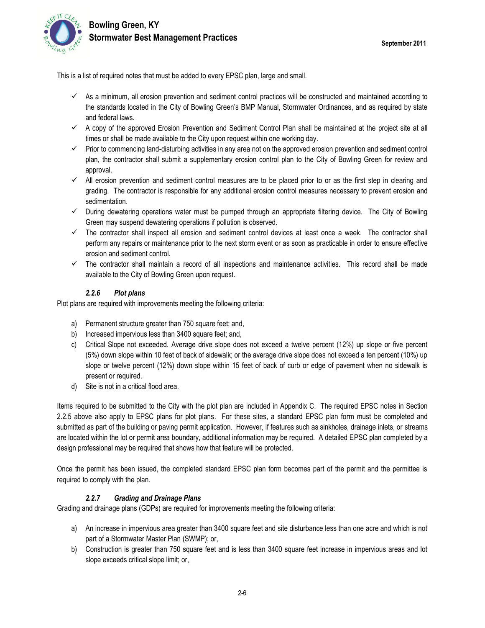This is a list of required notes that must be added to every EPSC plan, large and small.

- $\checkmark$  As a minimum, all erosion prevention and sediment control practices will be constructed and maintained according to the standards located in the City of Bowling Green's BMP Manual, Stormwater Ordinances, and as required by state and federal laws.
- $\checkmark$  A copy of the approved Erosion Prevention and Sediment Control Plan shall be maintained at the project site at all times or shall be made available to the City upon request within one working day.
- $\checkmark$  Prior to commencing land-disturbing activities in any area not on the approved erosion prevention and sediment control plan, the contractor shall submit a supplementary erosion control plan to the City of Bowling Green for review and approval.
- $\checkmark$  All erosion prevention and sediment control measures are to be placed prior to or as the first step in clearing and grading. The contractor is responsible for any additional erosion control measures necessary to prevent erosion and sedimentation.
- $\checkmark$  During dewatering operations water must be pumped through an appropriate filtering device. The City of Bowling Green may suspend dewatering operations if pollution is observed.
- $\checkmark$  The contractor shall inspect all erosion and sediment control devices at least once a week. The contractor shall perform any repairs or maintenance prior to the next storm event or as soon as practicable in order to ensure effective erosion and sediment control.
- $\checkmark$  The contractor shall maintain a record of all inspections and maintenance activities. This record shall be made available to the City of Bowling Green upon request.

#### *2.2.6 Plot plans*

Plot plans are required with improvements meeting the following criteria:

- a) Permanent structure greater than 750 square feet; and,
- b) Increased impervious less than 3400 square feet; and,
- c) Critical Slope not exceeded. Average drive slope does not exceed a twelve percent (12%) up slope or five percent (5%) down slope within 10 feet of back of sidewalk; or the average drive slope does not exceed a ten percent (10%) up slope or twelve percent (12%) down slope within 15 feet of back of curb or edge of pavement when no sidewalk is present or required.
- d) Site is not in a critical flood area.

Items required to be submitted to the City with the plot plan are included in Appendix C. The required EPSC notes in Section 2.2.5 above also apply to EPSC plans for plot plans. For these sites, a standard EPSC plan form must be completed and submitted as part of the building or paving permit application. However, if features such as sinkholes, drainage inlets, or streams are located within the lot or permit area boundary, additional information may be required. A detailed EPSC plan completed by a design professional may be required that shows how that feature will be protected.

Once the permit has been issued, the completed standard EPSC plan form becomes part of the permit and the permittee is required to comply with the plan.

#### *2.2.7 Grading and Drainage Plans*

Grading and drainage plans (GDPs) are required for improvements meeting the following criteria:

- a) An increase in impervious area greater than 3400 square feet and site disturbance less than one acre and which is not part of a Stormwater Master Plan (SWMP); or,
- b) Construction is greater than 750 square feet and is less than 3400 square feet increase in impervious areas and lot slope exceeds critical slope limit; or,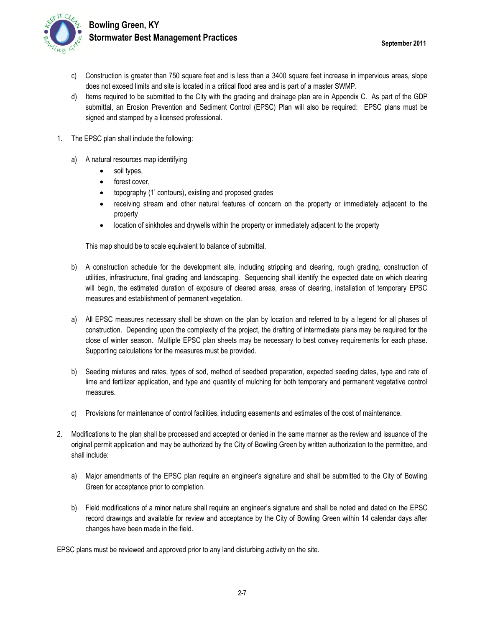

- c) Construction is greater than 750 square feet and is less than a 3400 square feet increase in impervious areas, slope does not exceed limits and site is located in a critical flood area and is part of a master SWMP.
- d) Items required to be submitted to the City with the grading and drainage plan are in Appendix C. As part of the GDP submittal, an Erosion Prevention and Sediment Control (EPSC) Plan will also be required: EPSC plans must be signed and stamped by a licensed professional.
- 1. The EPSC plan shall include the following:
	- a) A natural resources map identifying
		- soil types,
		- forest cover,
		- topography (1' contours), existing and proposed grades
		- receiving stream and other natural features of concern on the property or immediately adjacent to the property
		- location of sinkholes and drywells within the property or immediately adjacent to the property

This map should be to scale equivalent to balance of submittal.

- b) A construction schedule for the development site, including stripping and clearing, rough grading, construction of utilities, infrastructure, final grading and landscaping. Sequencing shall identify the expected date on which clearing will begin, the estimated duration of exposure of cleared areas, areas of clearing, installation of temporary EPSC measures and establishment of permanent vegetation.
- a) All EPSC measures necessary shall be shown on the plan by location and referred to by a legend for all phases of construction. Depending upon the complexity of the project, the drafting of intermediate plans may be required for the close of winter season. Multiple EPSC plan sheets may be necessary to best convey requirements for each phase. Supporting calculations for the measures must be provided.
- b) Seeding mixtures and rates, types of sod, method of seedbed preparation, expected seeding dates, type and rate of lime and fertilizer application, and type and quantity of mulching for both temporary and permanent vegetative control measures.
- c) Provisions for maintenance of control facilities, including easements and estimates of the cost of maintenance.
- 2. Modifications to the plan shall be processed and accepted or denied in the same manner as the review and issuance of the original permit application and may be authorized by the City of Bowling Green by written authorization to the permittee, and shall include:
	- a) Major amendments of the EPSC plan require an engineer's signature and shall be submitted to the City of Bowling Green for acceptance prior to completion.
	- b) Field modifications of a minor nature shall require an engineer's signature and shall be noted and dated on the EPSC record drawings and available for review and acceptance by the City of Bowling Green within 14 calendar days after changes have been made in the field.

EPSC plans must be reviewed and approved prior to any land disturbing activity on the site.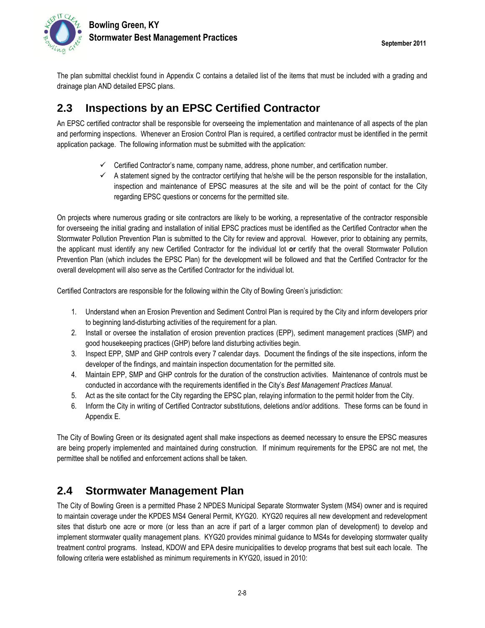

The plan submittal checklist found in Appendix C contains a detailed list of the items that must be included with a grading and drainage plan AND detailed EPSC plans.

### **2.3 Inspections by an EPSC Certified Contractor**

An EPSC certified contractor shall be responsible for overseeing the implementation and maintenance of all aspects of the plan and performing inspections. Whenever an Erosion Control Plan is required, a certified contractor must be identified in the permit application package. The following information must be submitted with the application:

- $\checkmark$  Certified Contractor's name, company name, address, phone number, and certification number.
- $\checkmark$  A statement signed by the contractor certifying that he/she will be the person responsible for the installation, inspection and maintenance of EPSC measures at the site and will be the point of contact for the City regarding EPSC questions or concerns for the permitted site.

On projects where numerous grading or site contractors are likely to be working, a representative of the contractor responsible for overseeing the initial grading and installation of initial EPSC practices must be identified as the Certified Contractor when the Stormwater Pollution Prevention Plan is submitted to the City for review and approval. However, prior to obtaining any permits, the applicant must identify any new Certified Contractor for the individual lot **or** certify that the overall Stormwater Pollution Prevention Plan (which includes the EPSC Plan) for the development will be followed and that the Certified Contractor for the overall development will also serve as the Certified Contractor for the individual lot.

Certified Contractors are responsible for the following within the City of Bowling Green's jurisdiction:

- 1. Understand when an Erosion Prevention and Sediment Control Plan is required by the City and inform developers prior to beginning land-disturbing activities of the requirement for a plan.
- 2. Install or oversee the installation of erosion prevention practices (EPP), sediment management practices (SMP) and good housekeeping practices (GHP) before land disturbing activities begin.
- 3. Inspect EPP, SMP and GHP controls every 7 calendar days. Document the findings of the site inspections, inform the developer of the findings, and maintain inspection documentation for the permitted site.
- 4. Maintain EPP, SMP and GHP controls for the duration of the construction activities. Maintenance of controls must be conducted in accordance with the requirements identified in the City's *Best Management Practices Manual*.
- 5. Act as the site contact for the City regarding the EPSC plan, relaying information to the permit holder from the City.
- 6. Inform the City in writing of Certified Contractor substitutions, deletions and/or additions. These forms can be found in Appendix E.

The City of Bowling Green or its designated agent shall make inspections as deemed necessary to ensure the EPSC measures are being properly implemented and maintained during construction. If minimum requirements for the EPSC are not met, the permittee shall be notified and enforcement actions shall be taken.

### **2.4 Stormwater Management Plan**

The City of Bowling Green is a permitted Phase 2 NPDES Municipal Separate Stormwater System (MS4) owner and is required to maintain coverage under the KPDES MS4 General Permit, KYG20. KYG20 requires all new development and redevelopment sites that disturb one acre or more (or less than an acre if part of a larger common plan of development) to develop and implement stormwater quality management plans. KYG20 provides minimal guidance to MS4s for developing stormwater quality treatment control programs. Instead, KDOW and EPA desire municipalities to develop programs that best suit each locale. The following criteria were established as minimum requirements in KYG20, issued in 2010: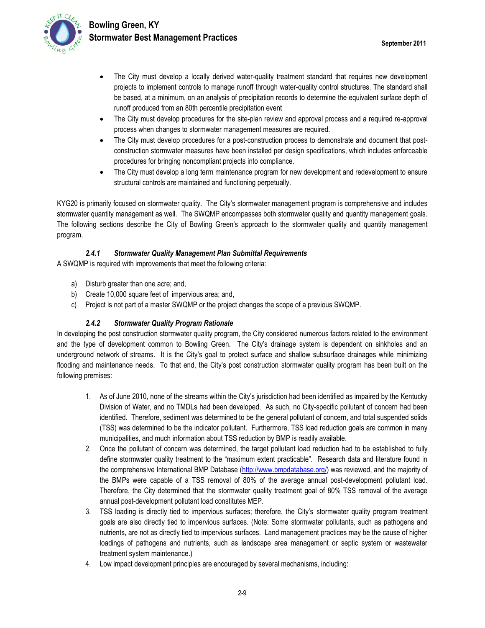

- The City must develop a locally derived water-quality treatment standard that requires new development projects to implement controls to manage runoff through water-quality control structures. The standard shall be based, at a minimum, on an analysis of precipitation records to determine the equivalent surface depth of runoff produced from an 80th percentile precipitation event
- The City must develop procedures for the site-plan review and approval process and a required re-approval process when changes to stormwater management measures are required.
- The City must develop procedures for a post-construction process to demonstrate and document that postconstruction stormwater measures have been installed per design specifications, which includes enforceable procedures for bringing noncompliant projects into compliance.
- The City must develop a long term maintenance program for new development and redevelopment to ensure structural controls are maintained and functioning perpetually.

KYG20 is primarily focused on stormwater quality. The City's stormwater management program is comprehensive and includes stormwater quantity management as well. The SWQMP encompasses both stormwater quality and quantity management goals. The following sections describe the City of Bowling Green's approach to the stormwater quality and quantity management program.

#### *2.4.1 Stormwater Quality Management Plan Submittal Requirements*

A SWQMP is required with improvements that meet the following criteria:

- a) Disturb greater than one acre; and,
- b) Create 10,000 square feet of impervious area; and,
- c) Project is not part of a master SWQMP or the project changes the scope of a previous SWQMP.

#### *2.4.2 Stormwater Quality Program Rationale*

In developing the post construction stormwater quality program, the City considered numerous factors related to the environment and the type of development common to Bowling Green. The City's drainage system is dependent on sinkholes and an underground network of streams. It is the City's goal to protect surface and shallow subsurface drainages while minimizing flooding and maintenance needs. To that end, the City's post construction stormwater quality program has been built on the following premises:

- 1. As of June 2010, none of the streams within the City's jurisdiction had been identified as impaired by the Kentucky Division of Water, and no TMDLs had been developed. As such, no City-specific pollutant of concern had been identified. Therefore, sediment was determined to be the general pollutant of concern, and total suspended solids (TSS) was determined to be the indicator pollutant. Furthermore, TSS load reduction goals are common in many municipalities, and much information about TSS reduction by BMP is readily available.
- 2. Once the pollutant of concern was determined, the target pollutant load reduction had to be established to fully define stormwater quality treatment to the "maximum extent practicable". Research data and literature found in the comprehensive International BMP Database [\(http://www.bmpdatabase.org/\)](http://www.bmpdatabase.org/) was reviewed, and the majority of the BMPs were capable of a TSS removal of 80% of the average annual post-development pollutant load. Therefore, the City determined that the stormwater quality treatment goal of 80% TSS removal of the average annual post-development pollutant load constitutes MEP.
- 3. TSS loading is directly tied to impervious surfaces; therefore, the City's stormwater quality program treatment goals are also directly tied to impervious surfaces. (Note: Some stormwater pollutants, such as pathogens and nutrients, are not as directly tied to impervious surfaces. Land management practices may be the cause of higher loadings of pathogens and nutrients, such as landscape area management or septic system or wastewater treatment system maintenance.)
- 4. Low impact development principles are encouraged by several mechanisms, including: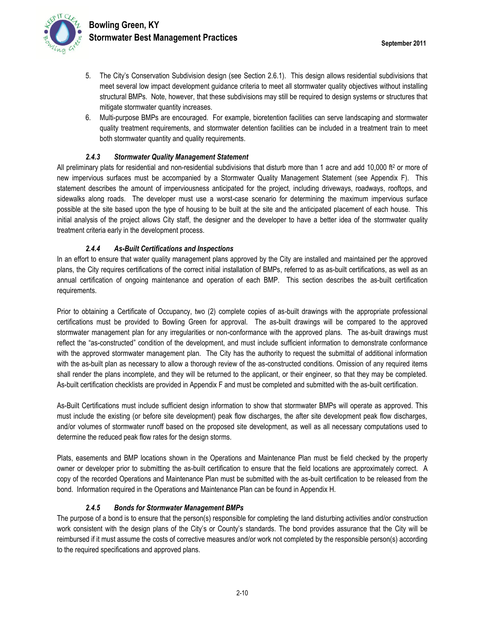

- 5. The City's Conservation Subdivision design (see Section 2.6.1). This design allows residential subdivisions that meet several low impact development guidance criteria to meet all stormwater quality objectives without installing structural BMPs. Note, however, that these subdivisions may still be required to design systems or structures that mitigate stormwater quantity increases.
- 6. Multi-purpose BMPs are encouraged. For example, bioretention facilities can serve landscaping and stormwater quality treatment requirements, and stormwater detention facilities can be included in a treatment train to meet both stormwater quantity and quality requirements.

#### *2.4.3 Stormwater Quality Management Statement*

All preliminary plats for residential and non-residential subdivisions that disturb more than 1 acre and add 10,000 ft<sup>2</sup> or more of new impervious surfaces must be accompanied by a Stormwater Quality Management Statement (see Appendix F). This statement describes the amount of imperviousness anticipated for the project, including driveways, roadways, rooftops, and sidewalks along roads. The developer must use a worst-case scenario for determining the maximum impervious surface possible at the site based upon the type of housing to be built at the site and the anticipated placement of each house. This initial analysis of the project allows City staff, the designer and the developer to have a better idea of the stormwater quality treatment criteria early in the development process.

#### *2.4.4 As-Built Certifications and Inspections*

In an effort to ensure that water quality management plans approved by the City are installed and maintained per the approved plans, the City requires certifications of the correct initial installation of BMPs, referred to as as-built certifications, as well as an annual certification of ongoing maintenance and operation of each BMP. This section describes the as-built certification requirements.

Prior to obtaining a Certificate of Occupancy, two (2) complete copies of as-built drawings with the appropriate professional certifications must be provided to Bowling Green for approval. The as-built drawings will be compared to the approved stormwater management plan for any irregularities or non-conformance with the approved plans. The as-built drawings must reflect the "as-constructed" condition of the development, and must include sufficient information to demonstrate conformance with the approved stormwater management plan. The City has the authority to request the submittal of additional information with the as-built plan as necessary to allow a thorough review of the as-constructed conditions. Omission of any required items shall render the plans incomplete, and they will be returned to the applicant, or their engineer, so that they may be completed. As-built certification checklists are provided in Appendix F and must be completed and submitted with the as-built certification.

As-Built Certifications must include sufficient design information to show that stormwater BMPs will operate as approved. This must include the existing (or before site development) peak flow discharges, the after site development peak flow discharges, and/or volumes of stormwater runoff based on the proposed site development, as well as all necessary computations used to determine the reduced peak flow rates for the design storms.

Plats, easements and BMP locations shown in the Operations and Maintenance Plan must be field checked by the property owner or developer prior to submitting the as-built certification to ensure that the field locations are approximately correct. A copy of the recorded Operations and Maintenance Plan must be submitted with the as-built certification to be released from the bond. Information required in the Operations and Maintenance Plan can be found in Appendix H.

#### *2.4.5 Bonds for Stormwater Management BMPs*

The purpose of a bond is to ensure that the person(s) responsible for completing the land disturbing activities and/or construction work consistent with the design plans of the City's or County's standards. The bond provides assurance that the City will be reimbursed if it must assume the costs of corrective measures and/or work not completed by the responsible person(s) according to the required specifications and approved plans.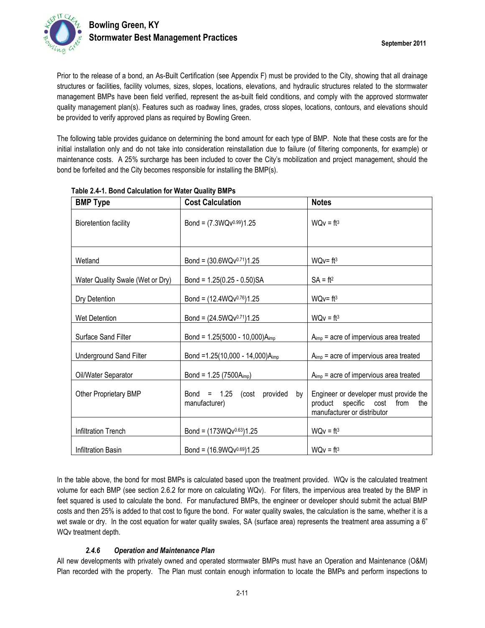

Prior to the release of a bond, an As-Built Certification (see Appendix F) must be provided to the City, showing that all drainage structures or facilities, facility volumes, sizes, slopes, locations, elevations, and hydraulic structures related to the stormwater management BMPs have been field verified, represent the as-built field conditions, and comply with the approved stormwater quality management plan(s). Features such as roadway lines, grades, cross slopes, locations, contours, and elevations should be provided to verify approved plans as required by Bowling Green.

The following table provides guidance on determining the bond amount for each type of BMP. Note that these costs are for the initial installation only and do not take into consideration reinstallation due to failure (of filtering components, for example) or maintenance costs. A 25% surcharge has been included to cover the City's mobilization and project management, should the bond be forfeited and the City becomes responsible for installing the BMP(s).

| <b>BMP Type</b>                  | <b>Cost Calculation</b>                             | <b>Notes</b>                                                                                            |  |  |  |  |  |
|----------------------------------|-----------------------------------------------------|---------------------------------------------------------------------------------------------------------|--|--|--|--|--|
| <b>Bioretention facility</b>     | Bond = $(7.3WQv^{0.99})1.25$                        | $WQv = ft^3$                                                                                            |  |  |  |  |  |
| Wetland                          | Bond = $(30.6WQv^{0.71})1.25$                       | $WQv = ft3$                                                                                             |  |  |  |  |  |
| Water Quality Swale (Wet or Dry) | Bond = $1.25(0.25 - 0.50)SA$                        | $SA = ft2$                                                                                              |  |  |  |  |  |
| Dry Detention                    | Bond = $(12.4WQv^{0.76})1.25$                       | $WQv = ft^3$                                                                                            |  |  |  |  |  |
| Wet Detention                    | Bond = $(24.5WQv^{0.71})1.25$                       | $WQv = ft^3$                                                                                            |  |  |  |  |  |
| Surface Sand Filter              | Bond = $1.25(5000 - 10,000)$ A <sub>imp</sub>       | $A_{\text{imp}}$ = acre of impervious area treated                                                      |  |  |  |  |  |
| <b>Underground Sand Filter</b>   | Bond = 1.25(10,000 - 14,000) $A_{imp}$              | $A_{imp}$ = acre of impervious area treated                                                             |  |  |  |  |  |
| Oil/Water Separator              | Bond = $1.25(7500A_{imp})$                          | $A_{imp}$ = acre of impervious area treated                                                             |  |  |  |  |  |
| Other Proprietary BMP            | Bond = $1.25$ (cost provided<br>bv<br>manufacturer) | Engineer or developer must provide the<br>product specific cost from the<br>manufacturer or distributor |  |  |  |  |  |
| Infiltration Trench              | Bond = $(173WQv^{0.63})1.25$                        | $WQv = ft^3$                                                                                            |  |  |  |  |  |
| Infiltration Basin               | Bond = $(16.9WQv^{0.69})1.25$                       | $WQv = ft^3$                                                                                            |  |  |  |  |  |

#### **Table 2.4-1. Bond Calculation for Water Quality BMPs**

In the table above, the bond for most BMPs is calculated based upon the treatment provided. WQv is the calculated treatment volume for each BMP (see section 2.6.2 for more on calculating WQv). For filters, the impervious area treated by the BMP in feet squared is used to calculate the bond. For manufactured BMPs, the engineer or developer should submit the actual BMP costs and then 25% is added to that cost to figure the bond. For water quality swales, the calculation is the same, whether it is a wet swale or dry. In the cost equation for water quality swales, SA (surface area) represents the treatment area assuming a 6" WQv treatment depth.

#### *2.4.6 Operation and Maintenance Plan*

All new developments with privately owned and operated stormwater BMPs must have an Operation and Maintenance (O&M) Plan recorded with the property. The Plan must contain enough information to locate the BMPs and perform inspections to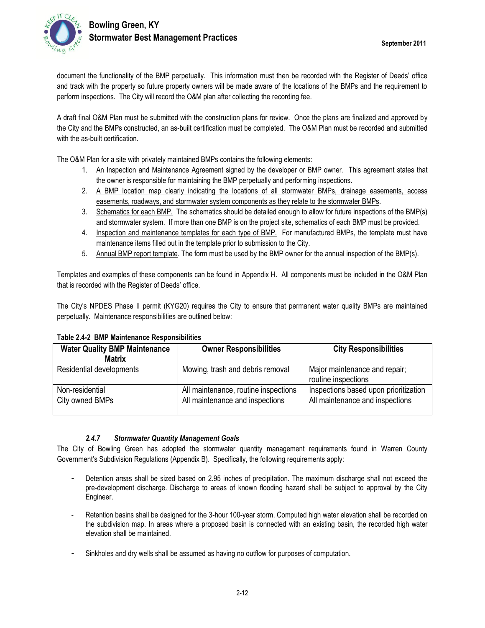

A draft final O&M Plan must be submitted with the construction plans for review. Once the plans are finalized and approved by the City and the BMPs constructed, an as-built certification must be completed. The O&M Plan must be recorded and submitted with the as-built certification.

The O&M Plan for a site with privately maintained BMPs contains the following elements:

- 1. An Inspection and Maintenance Agreement signed by the developer or BMP owner. This agreement states that the owner is responsible for maintaining the BMP perpetually and performing inspections.
- 2. A BMP location map clearly indicating the locations of all stormwater BMPs, drainage easements, access easements, roadways, and stormwater system components as they relate to the stormwater BMPs.
- 3. Schematics for each BMP. The schematics should be detailed enough to allow for future inspections of the BMP(s) and stormwater system. If more than one BMP is on the project site, schematics of each BMP must be provided.
- 4. Inspection and maintenance templates for each type of BMP. For manufactured BMPs, the template must have maintenance items filled out in the template prior to submission to the City.
- 5. Annual BMP report template. The form must be used by the BMP owner for the annual inspection of the BMP(s).

Templates and examples of these components can be found in Appendix H. All components must be included in the O&M Plan that is recorded with the Register of Deeds' office.

The City's NPDES Phase II permit (KYG20) requires the City to ensure that permanent water quality BMPs are maintained perpetually. Maintenance responsibilities are outlined below:

**Table 2.4-2 BMP Maintenance Responsibilities**

| <b>Water Quality BMP Maintenance</b><br><b>Matrix</b> | <b>Owner Responsibilities</b>        | <b>City Responsibilities</b>                         |
|-------------------------------------------------------|--------------------------------------|------------------------------------------------------|
| Residential developments                              | Mowing, trash and debris removal     | Major maintenance and repair;<br>routine inspections |
| Non-residential                                       | All maintenance, routine inspections | Inspections based upon prioritization                |
| City owned BMPs                                       | All maintenance and inspections      | All maintenance and inspections                      |

#### *2.4.7 Stormwater Quantity Management Goals*

The City of Bowling Green has adopted the stormwater quantity management requirements found in Warren County Government's Subdivision Regulations (Appendix B). Specifically, the following requirements apply:

- Detention areas shall be sized based on 2.95 inches of precipitation. The maximum discharge shall not exceed the pre-development discharge. Discharge to areas of known flooding hazard shall be subject to approval by the City Engineer.
- Retention basins shall be designed for the 3-hour 100-year storm. Computed high water elevation shall be recorded on the subdivision map. In areas where a proposed basin is connected with an existing basin, the recorded high water elevation shall be maintained.
- Sinkholes and dry wells shall be assumed as having no outflow for purposes of computation.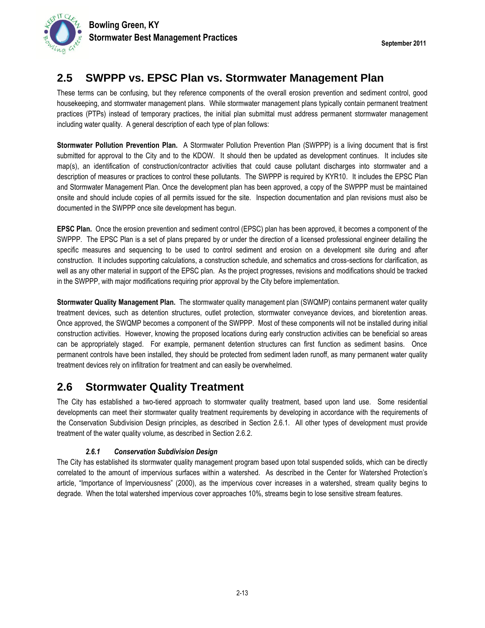### **2.5 SWPPP vs. EPSC Plan vs. Stormwater Management Plan**

These terms can be confusing, but they reference components of the overall erosion prevention and sediment control, good housekeeping, and stormwater management plans. While stormwater management plans typically contain permanent treatment practices (PTPs) instead of temporary practices, the initial plan submittal must address permanent stormwater management including water quality. A general description of each type of plan follows:

**Stormwater Pollution Prevention Plan.** A Stormwater Pollution Prevention Plan (SWPPP) is a living document that is first submitted for approval to the City and to the KDOW. It should then be updated as development continues. It includes site map(s), an identification of construction/contractor activities that could cause pollutant discharges into stormwater and a description of measures or practices to control these pollutants. The SWPPP is required by KYR10. It includes the EPSC Plan and Stormwater Management Plan. Once the development plan has been approved, a copy of the SWPPP must be maintained onsite and should include copies of all permits issued for the site. Inspection documentation and plan revisions must also be documented in the SWPPP once site development has begun.

**EPSC Plan.** Once the erosion prevention and sediment control (EPSC) plan has been approved, it becomes a component of the SWPPP. The EPSC Plan is a set of plans prepared by or under the direction of a licensed professional engineer detailing the specific measures and sequencing to be used to control sediment and erosion on a development site during and after construction. It includes supporting calculations, a construction schedule, and schematics and cross-sections for clarification, as well as any other material in support of the EPSC plan. As the project progresses, revisions and modifications should be tracked in the SWPPP, with major modifications requiring prior approval by the City before implementation.

**Stormwater Quality Management Plan.** The stormwater quality management plan (SWQMP) contains permanent water quality treatment devices, such as detention structures, outlet protection, stormwater conveyance devices, and bioretention areas. Once approved, the SWQMP becomes a component of the SWPPP. Most of these components will not be installed during initial construction activities. However, knowing the proposed locations during early construction activities can be beneficial so areas can be appropriately staged. For example, permanent detention structures can first function as sediment basins. Once permanent controls have been installed, they should be protected from sediment laden runoff, as many permanent water quality treatment devices rely on infiltration for treatment and can easily be overwhelmed.

### **2.6 Stormwater Quality Treatment**

The City has established a two-tiered approach to stormwater quality treatment, based upon land use. Some residential developments can meet their stormwater quality treatment requirements by developing in accordance with the requirements of the Conservation Subdivision Design principles, as described in Section [2.6.1.](#page-12-0) All other types of development must provide treatment of the water quality volume, as described in Section 2.6.2.

### *2.6.1 Conservation Subdivision Design*

<span id="page-12-0"></span>The City has established its stormwater quality management program based upon total suspended solids, which can be directly correlated to the amount of impervious surfaces within a watershed. As described in the Center for Watershed Protection's article, "Importance of Imperviousness" (2000), as the impervious cover increases in a watershed, stream quality begins to degrade. When the total watershed impervious cover approaches 10%, streams begin to lose sensitive stream features.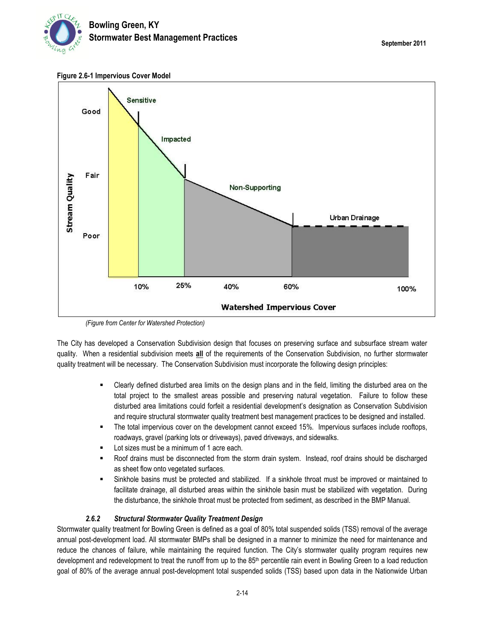

**Figure 2.6-1 Impervious Cover Model**



*(Figure from Center for Watershed Protection)*

The City has developed a Conservation Subdivision design that focuses on preserving surface and subsurface stream water quality. When a residential subdivision meets **all** of the requirements of the Conservation Subdivision, no further stormwater quality treatment will be necessary. The Conservation Subdivision must incorporate the following design principles:

- Clearly defined disturbed area limits on the design plans and in the field, limiting the disturbed area on the total project to the smallest areas possible and preserving natural vegetation. Failure to follow these disturbed area limitations could forfeit a residential development's designation as Conservation Subdivision and require structural stormwater quality treatment best management practices to be designed and installed.
- The total impervious cover on the development cannot exceed 15%. Impervious surfaces include rooftops, roadways, gravel (parking lots or driveways), paved driveways, and sidewalks.
- Lot sizes must be a minimum of 1 acre each.
- Roof drains must be disconnected from the storm drain system. Instead, roof drains should be discharged as sheet flow onto vegetated surfaces.
- Sinkhole basins must be protected and stabilized. If a sinkhole throat must be improved or maintained to facilitate drainage, all disturbed areas within the sinkhole basin must be stabilized with vegetation. During the disturbance, the sinkhole throat must be protected from sediment, as described in the BMP Manual.

#### *2.6.2 Structural Stormwater Quality Treatment Design*

Stormwater quality treatment for Bowling Green is defined as a goal of 80% total suspended solids (TSS) removal of the average annual post-development load. All stormwater BMPs shall be designed in a manner to minimize the need for maintenance and reduce the chances of failure, while maintaining the required function. The City's stormwater quality program requires new development and redevelopment to treat the runoff from up to the 85th percentile rain event in Bowling Green to a load reduction goal of 80% of the average annual post-development total suspended solids (TSS) based upon data in the Nationwide Urban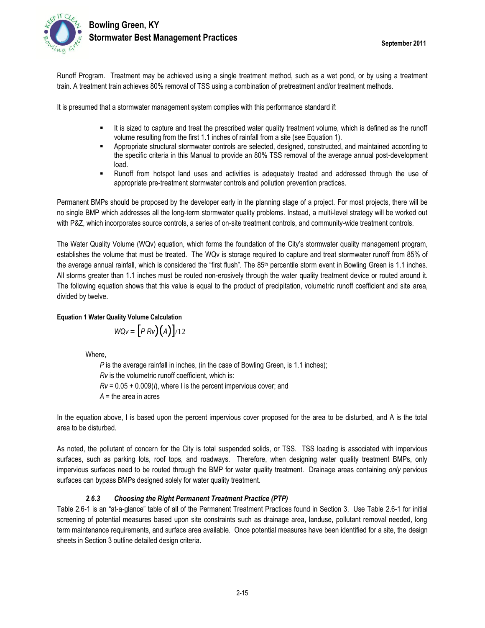

Runoff Program. Treatment may be achieved using a single treatment method, such as a wet pond, or by using a treatment train. A treatment train achieves 80% removal of TSS using a combination of pretreatment and/or treatment methods.

It is presumed that a stormwater management system complies with this performance standard if:

- It is sized to capture and treat the prescribed water quality treatment volume, which is defined as the runoff volume resulting from the first 1.1 inches of rainfall from a site (see Equation 1).
- Appropriate structural stormwater controls are selected, designed, constructed, and maintained according to the specific criteria in this Manual to provide an 80% TSS removal of the average annual post-development load.
- Runoff from hotspot land uses and activities is adequately treated and addressed through the use of appropriate pre-treatment stormwater controls and pollution prevention practices.

Permanent BMPs should be proposed by the developer early in the planning stage of a project. For most projects, there will be no single BMP which addresses all the long-term stormwater quality problems. Instead, a multi-level strategy will be worked out with P&Z, which incorporates source controls, a series of on-site treatment controls, and community-wide treatment controls.

The Water Quality Volume (WQv) equation, which forms the foundation of the City's stormwater quality management program, establishes the volume that must be treated. The WQv is storage required to capture and treat stormwater runoff from 85% of the average annual rainfall, which is considered the "first flush". The 85<sup>th</sup> percentile storm event in Bowling Green is 1.1 inches. All storms greater than 1.1 inches must be routed non-erosively through the water quality treatment device or routed around it. The following equation shows that this value is equal to the product of precipitation, volumetric runoff coefficient and site area, divided by twelve.

#### **Equation 1 Water Quality Volume Calculation**

$$
WQV = [P R V)(A)]/12
$$

Where,

*P* is the average rainfall in inches, (in the case of Bowling Green, is 1.1 inches); *Rv* is the volumetric runoff coefficient, which is: *Rv* = 0.05 + 0.009(*I*), where I is the percent impervious cover; and *A* = the area in acres

In the equation above, I is based upon the percent impervious cover proposed for the area to be disturbed, and A is the total area to be disturbed.

As noted, the pollutant of concern for the City is total suspended solids, or TSS. TSS loading is associated with impervious surfaces, such as parking lots, roof tops, and roadways. Therefore, when designing water quality treatment BMPs, only impervious surfaces need to be routed through the BMP for water quality treatment. Drainage areas containing *only* pervious surfaces can bypass BMPs designed solely for water quality treatment.

#### *2.6.3 Choosing the Right Permanent Treatment Practice (PTP)*

Table 2.6-1 is an "at-a-glance" table of all of the Permanent Treatment Practices found in Section 3. Use Table 2.6-1 for initial screening of potential measures based upon site constraints such as drainage area, landuse, pollutant removal needed, long term maintenance requirements, and surface area available. Once potential measures have been identified for a site, the design sheets in Section 3 outline detailed design criteria.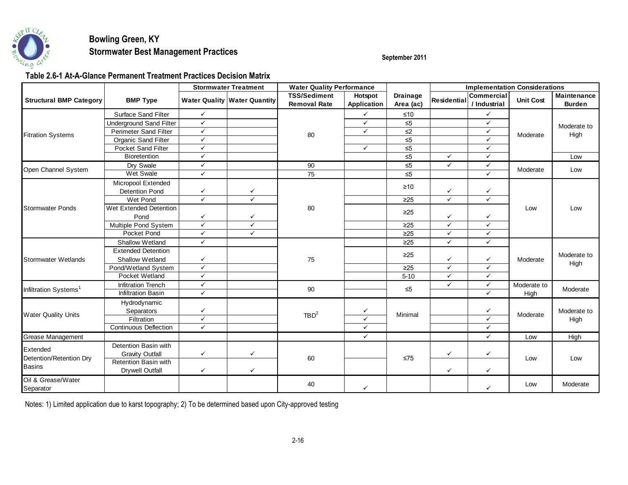

### **Bowling Green, KY Stormwater Best Management Practices Stormwater Best Management Practices September 2011**

**Table 2.6-1 At-A-Glance Permanent Treatment Practices Decision Matrix**

|                                   |                                | <b>Stormwater Treatment</b> |                                       | <b>Water Quality Performance</b>           |                               |                              | <b>Implementation Considerations</b> |                                   |                  |                                     |             |  |  |  |  |  |  |  |  |  |  |  |  |  |  |  |  |  |  |  |  |
|-----------------------------------|--------------------------------|-----------------------------|---------------------------------------|--------------------------------------------|-------------------------------|------------------------------|--------------------------------------|-----------------------------------|------------------|-------------------------------------|-------------|--|--|--|--|--|--|--|--|--|--|--|--|--|--|--|--|--|--|--|--|
| <b>Structural BMP Category</b>    | <b>BMP Type</b>                |                             | <b>Water Quality   Water Quantity</b> | <b>TSS/Sediment</b><br><b>Removal Rate</b> | Hotspot<br><b>Application</b> | <b>Drainage</b><br>Area (ac) | Residential                          | <b>Commercial</b><br>/ Industrial | <b>Unit Cost</b> | <b>Maintenance</b><br><b>Burden</b> |             |  |  |  |  |  |  |  |  |  |  |  |  |  |  |  |  |  |  |  |  |
|                                   | Surface Sand Filter            | $\checkmark$                |                                       |                                            | $\checkmark$                  | ≤10                          |                                      | $\checkmark$                      | Moderate         |                                     |             |  |  |  |  |  |  |  |  |  |  |  |  |  |  |  |  |  |  |  |  |
|                                   | <b>Underground Sand Filter</b> | $\checkmark$                |                                       | 80                                         | $\checkmark$                  | $\overline{\leq}$            |                                      | $\checkmark$                      |                  | Moderate to                         |             |  |  |  |  |  |  |  |  |  |  |  |  |  |  |  |  |  |  |  |  |
|                                   | <b>Perimeter Sand Filter</b>   | $\checkmark$                |                                       |                                            | $\checkmark$                  | $\leq$ 2                     |                                      | $\checkmark$                      |                  | High                                |             |  |  |  |  |  |  |  |  |  |  |  |  |  |  |  |  |  |  |  |  |
| <b>Fitration Systems</b>          | Organic Sand Filter            | $\checkmark$                |                                       |                                            |                               | $\leq 5$                     |                                      | $\checkmark$                      |                  |                                     |             |  |  |  |  |  |  |  |  |  |  |  |  |  |  |  |  |  |  |  |  |
|                                   | Pocket Sand Filter             | $\checkmark$                |                                       |                                            | $\checkmark$                  | $\leq 5$                     |                                      | $\checkmark$                      |                  |                                     |             |  |  |  |  |  |  |  |  |  |  |  |  |  |  |  |  |  |  |  |  |
|                                   | Bioretention                   | $\checkmark$                |                                       |                                            |                               | $\leq 5$                     | $\checkmark$                         | $\checkmark$                      |                  | Low                                 |             |  |  |  |  |  |  |  |  |  |  |  |  |  |  |  |  |  |  |  |  |
|                                   | Dry Swale                      | $\checkmark$                |                                       | 90                                         |                               | $\leq 5$                     | $\checkmark$                         | $\checkmark$                      |                  |                                     |             |  |  |  |  |  |  |  |  |  |  |  |  |  |  |  |  |  |  |  |  |
| Open Channel System               | Wet Swale                      | $\checkmark$                |                                       | $\overline{75}$                            |                               | $\leq 5$                     |                                      | $\checkmark$                      | Moderate         | Low                                 |             |  |  |  |  |  |  |  |  |  |  |  |  |  |  |  |  |  |  |  |  |
|                                   | Micropool Extended             |                             |                                       |                                            |                               |                              |                                      |                                   |                  |                                     |             |  |  |  |  |  |  |  |  |  |  |  |  |  |  |  |  |  |  |  |  |
|                                   | <b>Detention Pond</b>          | $\checkmark$                | ✓                                     |                                            |                               | $\geq 10$                    | ✓                                    | $\checkmark$                      |                  |                                     |             |  |  |  |  |  |  |  |  |  |  |  |  |  |  |  |  |  |  |  |  |
|                                   | Wet Pond                       | $\checkmark$                | $\checkmark$                          |                                            |                               | $\geq$ 25                    | $\checkmark$                         | $\checkmark$                      |                  |                                     |             |  |  |  |  |  |  |  |  |  |  |  |  |  |  |  |  |  |  |  |  |
| <b>Stormwater Ponds</b>           | Wet Extended Detention         |                             |                                       | 80                                         |                               |                              |                                      |                                   | Low              | Low                                 |             |  |  |  |  |  |  |  |  |  |  |  |  |  |  |  |  |  |  |  |  |
|                                   | Pond                           | $\checkmark$                | ✓                                     |                                            |                               | $\geq$ 25                    | ✓                                    | ✓                                 |                  |                                     |             |  |  |  |  |  |  |  |  |  |  |  |  |  |  |  |  |  |  |  |  |
|                                   | Multiple Pond System           | $\checkmark$                | $\checkmark$                          |                                            |                               | $\geq 25$                    | $\checkmark$                         | $\checkmark$                      |                  |                                     |             |  |  |  |  |  |  |  |  |  |  |  |  |  |  |  |  |  |  |  |  |
|                                   | Pocket Pond                    | $\checkmark$                | $\checkmark$                          |                                            |                               | $\geq 25$                    | $\checkmark$                         | $\checkmark$                      |                  |                                     |             |  |  |  |  |  |  |  |  |  |  |  |  |  |  |  |  |  |  |  |  |
|                                   | <b>Shallow Wetland</b>         | $\checkmark$                |                                       |                                            |                               | $\geq$ 25                    | $\checkmark$                         | $\checkmark$                      |                  | Moderate to<br>High                 |             |  |  |  |  |  |  |  |  |  |  |  |  |  |  |  |  |  |  |  |  |
|                                   | <b>Extended Detention</b>      |                             |                                       |                                            |                               |                              |                                      |                                   | Moderate         |                                     |             |  |  |  |  |  |  |  |  |  |  |  |  |  |  |  |  |  |  |  |  |
| <b>Stormwater Wetlands</b>        | Shallow Wetland                | $\checkmark$                |                                       | 75                                         |                               | $\geq$ 25                    | ✓                                    | ✓                                 |                  |                                     |             |  |  |  |  |  |  |  |  |  |  |  |  |  |  |  |  |  |  |  |  |
|                                   | Pond/Wetland System            | $\checkmark$                |                                       |                                            |                               | $\geq$ 25                    | $\checkmark$                         | $\checkmark$                      |                  |                                     |             |  |  |  |  |  |  |  |  |  |  |  |  |  |  |  |  |  |  |  |  |
|                                   | Pocket Wetland                 | $\checkmark$                |                                       |                                            |                               | $5 - 10$                     | $\checkmark$                         | $\checkmark$                      |                  |                                     |             |  |  |  |  |  |  |  |  |  |  |  |  |  |  |  |  |  |  |  |  |
|                                   | <b>Infitration Trench</b>      | $\checkmark$                |                                       |                                            |                               |                              |                                      |                                   | $\checkmark$     | $\checkmark$                        | Moderate to |  |  |  |  |  |  |  |  |  |  |  |  |  |  |  |  |  |  |  |  |
| Infiltration Systems <sup>1</sup> | Infiltration Basin             | $\checkmark$                |                                       | 90                                         |                               | $\leq 5$                     | $\checkmark$                         | High                              | Moderate         |                                     |             |  |  |  |  |  |  |  |  |  |  |  |  |  |  |  |  |  |  |  |  |
|                                   | Hydrodynamic                   |                             |                                       |                                            |                               |                              |                                      |                                   |                  |                                     |             |  |  |  |  |  |  |  |  |  |  |  |  |  |  |  |  |  |  |  |  |
|                                   | Separators                     | $\checkmark$                |                                       | TBD <sup>2</sup>                           | $\checkmark$                  |                              |                                      | ✓<br>Moderate                     |                  | Moderate to                         |             |  |  |  |  |  |  |  |  |  |  |  |  |  |  |  |  |  |  |  |  |
| <b>Water Quality Units</b>        | Filtration                     | $\checkmark$                |                                       |                                            | Minimal<br>$\checkmark$       |                              |                                      | $\checkmark$                      |                  | High                                |             |  |  |  |  |  |  |  |  |  |  |  |  |  |  |  |  |  |  |  |  |
|                                   | <b>Continuous Deflection</b>   | $\checkmark$                |                                       |                                            | $\checkmark$                  |                              |                                      | $\checkmark$                      |                  |                                     |             |  |  |  |  |  |  |  |  |  |  |  |  |  |  |  |  |  |  |  |  |
| Grease Management                 |                                |                             |                                       |                                            | $\checkmark$                  |                              |                                      | $\checkmark$                      | Low              | High                                |             |  |  |  |  |  |  |  |  |  |  |  |  |  |  |  |  |  |  |  |  |
| Extended                          | Detention Basin with           |                             |                                       | 60                                         |                               |                              |                                      |                                   |                  |                                     | Low         |  |  |  |  |  |  |  |  |  |  |  |  |  |  |  |  |  |  |  |  |
|                                   | <b>Gravity Outfall</b>         | $\checkmark$                | ✓                                     |                                            |                               |                              | $\leq 75$                            | ✓                                 | ✓                |                                     |             |  |  |  |  |  |  |  |  |  |  |  |  |  |  |  |  |  |  |  |  |
| Detention/Retention Dry           | Retention Basin with           |                             |                                       |                                            |                               |                              |                                      |                                   |                  |                                     |             |  |  |  |  |  |  |  |  |  |  |  |  |  |  |  |  |  |  |  |  |
| <b>Basins</b>                     | <b>Drywell Outfall</b>         | $\checkmark$                | $\checkmark$                          |                                            |                               | $\checkmark$                 |                                      | $\checkmark$                      |                  |                                     |             |  |  |  |  |  |  |  |  |  |  |  |  |  |  |  |  |  |  |  |  |
| Oil & Grease/Water<br>Separator   |                                |                             |                                       | 40                                         | $\checkmark$                  |                              |                                      | $\checkmark$                      | Low              | Moderate                            |             |  |  |  |  |  |  |  |  |  |  |  |  |  |  |  |  |  |  |  |  |

Notes: 1) Limited application due to karst topography; 2) To be determined based upon City-approved testing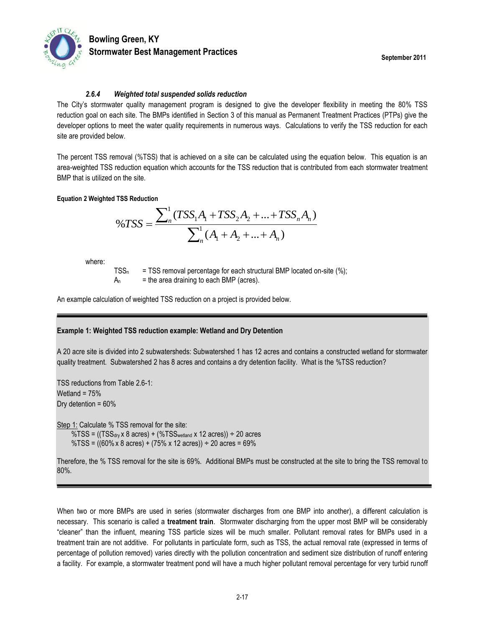

#### *2.6.4 Weighted total suspended solids reduction*

The City's stormwater quality management program is designed to give the developer flexibility in meeting the 80% TSS reduction goal on each site. The BMPs identified in Section 3 of this manual as Permanent Treatment Practices (PTPs) give the developer options to meet the water quality requirements in numerous ways. Calculations to verify the TSS reduction for each site are provided below.

The percent TSS removal (%TSS) that is achieved on a site can be calculated using the equation below. This equation is an area-weighted TSS reduction equation which accounts for the TSS reduction that is contributed from each stormwater treatment BMP that is utilized on the site.

#### **Equation 2 Weighted TSS Reduction**

$$
\%TSS = \frac{\sum_{n}^{1} (TSS_1A_1 + TSS_2A_2 + \dots + TSS_nA_n)}{\sum_{n}^{1} (A_1 + A_2 + \dots + A_n)}
$$

where:

 $TSS<sub>n</sub>$  = TSS removal percentage for each structural BMP located on-site (%);  $A_n$  = the area draining to each BMP (acres).

An example calculation of weighted TSS reduction on a project is provided below.

#### **Example 1: Weighted TSS reduction example: Wetland and Dry Detention**

A 20 acre site is divided into 2 subwatersheds: Subwatershed 1 has 12 acres and contains a constructed wetland for stormwater quality treatment. Subwatershed 2 has 8 acres and contains a dry detention facility. What is the %TSS reduction?

TSS reductions from Table 2.6-1: Wetland =  $75%$ Dry detention = 60%

Step 1: Calculate % TSS removal for the site:  $\%TSS = ((TSS_{\text{dry}} \times 8 \text{ acres}) + (\%TSS_{\text{weltand}} \times 12 \text{ acres})) \div 20 \text{ acres}$  $\%TSS = ((60\% \times 8 \text{ acres}) + (75\% \times 12 \text{ acres})) \div 20 \text{ acres} = 69\%$ 

Therefore, the % TSS removal for the site is 69%. Additional BMPs must be constructed at the site to bring the TSS removal to 80%.

When two or more BMPs are used in series (stormwater discharges from one BMP into another), a different calculation is necessary. This scenario is called a **treatment train**. Stormwater discharging from the upper most BMP will be considerably "cleaner" than the influent, meaning TSS particle sizes will be much smaller. Pollutant removal rates for BMPs used in a treatment train are not additive. For pollutants in particulate form, such as TSS, the actual removal rate (expressed in terms of percentage of pollution removed) varies directly with the pollution concentration and sediment size distribution of runoff entering a facility. For example, a stormwater treatment pond will have a much higher pollutant removal percentage for very turbid runoff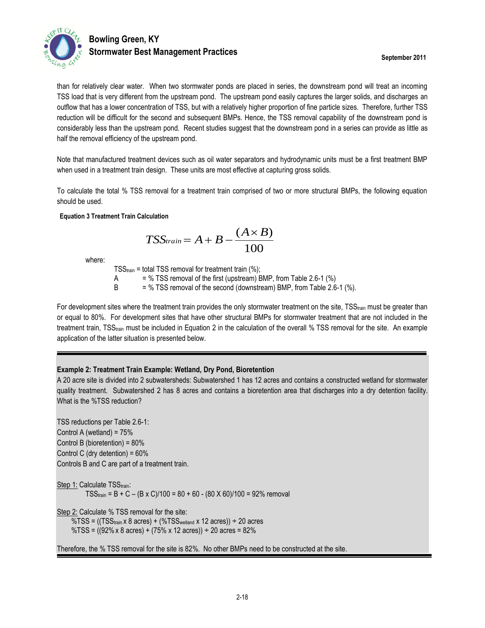

### **Bowling Green, KY Stormwater Best Management Practices September 2011**

than for relatively clear water. When two stormwater ponds are placed in series, the downstream pond will treat an incoming TSS load that is very different from the upstream pond. The upstream pond easily captures the larger solids, and discharges an outflow that has a lower concentration of TSS, but with a relatively higher proportion of fine particle sizes. Therefore, further TSS reduction will be difficult for the second and subsequent BMPs. Hence, the TSS removal capability of the downstream pond is considerably less than the upstream pond. Recent studies suggest that the downstream pond in a series can provide as little as half the removal efficiency of the upstream pond.

Note that manufactured treatment devices such as oil water separators and hydrodynamic units must be a first treatment BMP when used in a treatment train design. These units are most effective at capturing gross solids.

To calculate the total % TSS removal for a treatment train comprised of two or more structural BMPs, the following equation should be used.

#### **Equation 3 Treatment Train Calculation**

$$
TSS_{train} = A + B - \frac{(A \times B)}{100}
$$

where:

TSS<sub>train</sub> = total TSS removal for treatment train (%); A  $=$  % TSS removal of the first (upstream) BMP, from Table 2.6-1  $(\%)$ 

 $B = \% TSS$  removal of the second (downstream) BMP, from Table 2.6-1 (%).

For development sites where the treatment train provides the only stormwater treatment on the site, TSS<sub>train</sub> must be greater than or equal to 80%. For development sites that have other structural BMPs for stormwater treatment that are not included in the treatment train, TSStrain must be included in Equation 2 in the calculation of the overall % TSS removal for the site. An example application of the latter situation is presented below.

#### **Example 2: Treatment Train Example: Wetland, Dry Pond, Bioretention**

A 20 acre site is divided into 2 subwatersheds: Subwatershed 1 has 12 acres and contains a constructed wetland for stormwater quality treatment. Subwatershed 2 has 8 acres and contains a bioretention area that discharges into a dry detention facility. What is the %TSS reduction?

TSS reductions per Table 2.6-1: Control A (wetland) = 75% Control B (bioretention) = 80% Control C (dry detention) = 60% Controls B and C are part of a treatment train.

Step 1: Calculate TSStrain:  $TSS_{train} = B + C - (B \times C)/100 = 80 + 60 - (80 \times 60)/100 = 92\%$  removal

Step 2: Calculate % TSS removal for the site:

 $\%TSS = ((TSS_{train} \times 8 \text{ acres}) + (\%TSS_{wetland} \times 12 \text{ acres})) \div 20 \text{ acres}$ %TSS =  $((92\% \times 8 \text{ acres}) + (75\% \times 12 \text{ acres})) \div 20 \text{ acres} = 82\%$ 

Therefore, the % TSS removal for the site is 82%. No other BMPs need to be constructed at the site.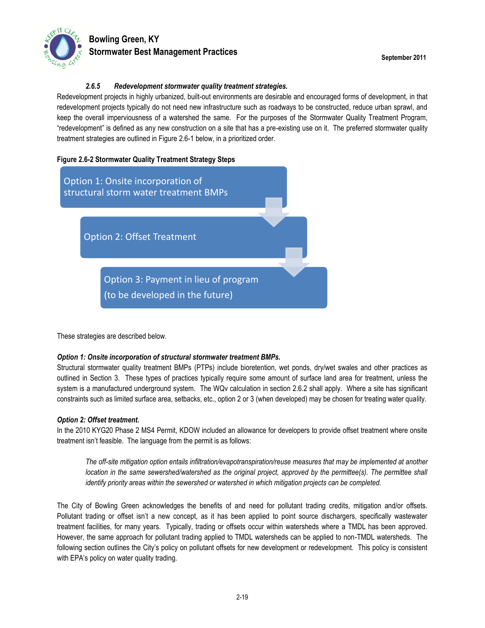

### **Bowling Green, KY Stormwater Best Management Practices September 2011**

#### *2.6.5 Redevelopment stormwater quality treatment strategies.*

Redevelopment projects in highly urbanized, built-out environments are desirable and encouraged forms of development, in that redevelopment projects typically do not need new infrastructure such as roadways to be constructed, reduce urban sprawl, and keep the overall imperviousness of a watershed the same. For the purposes of the Stormwater Quality Treatment Program, "redevelopment" is defined as any new construction on a site that has a pre-existing use on it. The preferred stormwater quality treatment strategies are outlined in Figure 2.6-1 below, in a prioritized order.

#### **Figure 2.6-2 Stormwater Quality Treatment Strategy Steps**



These strategies are described below.

#### *Option 1: Onsite incorporation of structural stormwater treatment BMPs.*

Structural stormwater quality treatment BMPs (PTPs) include bioretention, wet ponds, dry/wet swales and other practices as outlined in Section 3. These types of practices typically require some amount of surface land area for treatment, unless the system is a manufactured underground system. The WQv calculation in section 2.6.2 shall apply. Where a site has significant constraints such as limited surface area, setbacks, etc., option 2 or 3 (when developed) may be chosen for treating water quality.

#### *Option 2: Offset treatment.*

In the 2010 KYG20 Phase 2 MS4 Permit, KDOW included an allowance for developers to provide offset treatment where onsite treatment isn't feasible. The language from the permit is as follows:

*The off-site mitigation option entails infiltration/evapotranspiration/reuse measures that may be implemented at another location in the same sewershed/watershed as the original project, approved by the permittee(s). The permittee shall identify priority areas within the sewershed or watershed in which mitigation projects can be completed.*

The City of Bowling Green acknowledges the benefits of and need for pollutant trading credits, mitigation and/or offsets. Pollutant trading or offset isn't a new concept, as it has been applied to point source dischargers, specifically wastewater treatment facilities, for many years. Typically, trading or offsets occur within watersheds where a TMDL has been approved. However, the same approach for pollutant trading applied to TMDL watersheds can be applied to non-TMDL watersheds. The following section outlines the City's policy on pollutant offsets for new development or redevelopment. This policy is consistent with EPA's policy on water quality trading.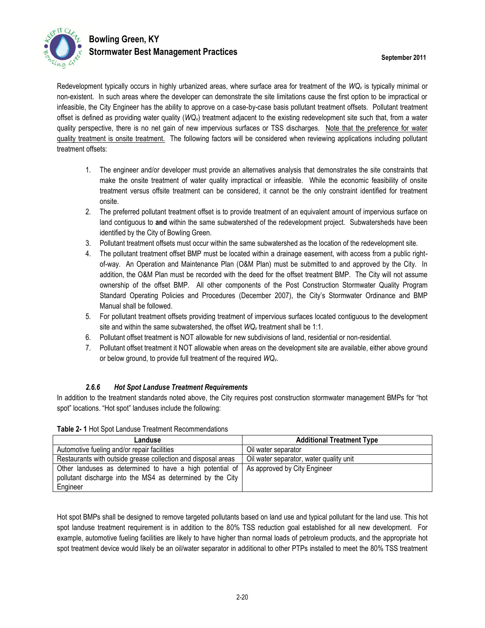

### **Bowling Green, KY Stormwater Best Management Practices September 2011**

Redevelopment typically occurs in highly urbanized areas, where surface area for treatment of the *WQ<sup>v</sup>* is typically minimal or non-existent. In such areas where the developer can demonstrate the site limitations cause the first option to be impractical or infeasible, the City Engineer has the ability to approve on a case-by-case basis pollutant treatment offsets. Pollutant treatment offset is defined as providing water quality (*WQv*) treatment adjacent to the existing redevelopment site such that, from a water quality perspective, there is no net gain of new impervious surfaces or TSS discharges. Note that the preference for water quality treatment is onsite treatment. The following factors will be considered when reviewing applications including pollutant treatment offsets:

- 1. The engineer and/or developer must provide an alternatives analysis that demonstrates the site constraints that make the onsite treatment of water quality impractical or infeasible. While the economic feasibility of onsite treatment versus offsite treatment can be considered, it cannot be the only constraint identified for treatment onsite.
- 2. The preferred pollutant treatment offset is to provide treatment of an equivalent amount of impervious surface on land contiguous to **and** within the same subwatershed of the redevelopment project. Subwatersheds have been identified by the City of Bowling Green.
- 3. Pollutant treatment offsets must occur within the same subwatershed as the location of the redevelopment site.
- 4. The pollutant treatment offset BMP must be located within a drainage easement, with access from a public rightof-way. An Operation and Maintenance Plan (O&M Plan) must be submitted to and approved by the City. In addition, the O&M Plan must be recorded with the deed for the offset treatment BMP. The City will not assume ownership of the offset BMP. All other components of the Post Construction Stormwater Quality Program Standard Operating Policies and Procedures (December 2007), the City's Stormwater Ordinance and BMP Manual shall be followed.
- 5. For pollutant treatment offsets providing treatment of impervious surfaces located contiguous to the development site and within the same subwatershed, the offset *WQ<sup>v</sup>* treatment shall be 1:1.
- 6. Pollutant offset treatment is NOT allowable for new subdivisions of land, residential or non-residential.
- 7. Pollutant offset treatment it NOT allowable when areas on the development site are available, either above ground or below ground, to provide full treatment of the required *WQv*.

#### *2.6.6 Hot Spot Landuse Treatment Requirements*

<span id="page-19-0"></span>In addition to the treatment standards noted above, the City requires post construction stormwater management BMPs for "hot spot" locations. "Hot spot" landuses include the following:

| Table 2- 1 Hot Spot Landuse Treatment Recommendations |  |
|-------------------------------------------------------|--|
|-------------------------------------------------------|--|

| Landuse                                                                                 | <b>Additional Treatment Type</b>        |
|-----------------------------------------------------------------------------------------|-----------------------------------------|
| Automotive fueling and/or repair facilities                                             | Oil water separator                     |
| Restaurants with outside grease collection and disposal areas                           | Oil water separator, water quality unit |
| Other landuses as determined to have a high potential of   As approved by City Engineer |                                         |
| pollutant discharge into the MS4 as determined by the City                              |                                         |
| Engineer                                                                                |                                         |

Hot spot BMPs shall be designed to remove targeted pollutants based on land use and typical pollutant for the land use. This hot spot landuse treatment requirement is in addition to the 80% TSS reduction goal established for all new development. For example, automotive fueling facilities are likely to have higher than normal loads of petroleum products, and the appropriate hot spot treatment device would likely be an oil/water separator in additional to other PTPs installed to meet the 80% TSS treatment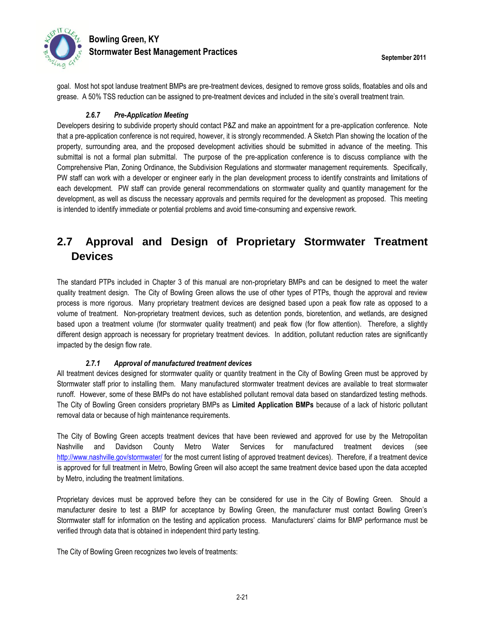

goal. Most hot spot landuse treatment BMPs are pre-treatment devices, designed to remove gross solids, floatables and oils and grease. A 50% TSS reduction can be assigned to pre-treatment devices and included in the site's overall treatment train.

#### *2.6.7 Pre-Application Meeting*

Developers desiring to subdivide property should contact P&Z and make an appointment for a pre-application conference. Note that a pre-application conference is not required, however, it is strongly recommended. A Sketch Plan showing the location of the property, surrounding area, and the proposed development activities should be submitted in advance of the meeting. This submittal is not a formal plan submittal. The purpose of the pre-application conference is to discuss compliance with the Comprehensive Plan, Zoning Ordinance, the Subdivision Regulations and stormwater management requirements. Specifically, PW staff can work with a developer or engineer early in the plan development process to identify constraints and limitations of each development. PW staff can provide general recommendations on stormwater quality and quantity management for the development, as well as discuss the necessary approvals and permits required for the development as proposed. This meeting is intended to identify immediate or potential problems and avoid time-consuming and expensive rework.

### **2.7 Approval and Design of Proprietary Stormwater Treatment Devices**

The standard PTPs included in Chapter 3 of this manual are non-proprietary BMPs and can be designed to meet the water quality treatment design. The City of Bowling Green allows the use of other types of PTPs, though the approval and review process is more rigorous. Many proprietary treatment devices are designed based upon a peak flow rate as opposed to a volume of treatment. Non-proprietary treatment devices, such as detention ponds, bioretention, and wetlands, are designed based upon a treatment volume (for stormwater quality treatment) and peak flow (for flow attention). Therefore, a slightly different design approach is necessary for proprietary treatment devices. In addition, pollutant reduction rates are significantly impacted by the design flow rate.

#### *2.7.1 Approval of manufactured treatment devices*

All treatment devices designed for stormwater quality or quantity treatment in the City of Bowling Green must be approved by Stormwater staff prior to installing them. Many manufactured stormwater treatment devices are available to treat stormwater runoff. However, some of these BMPs do not have established pollutant removal data based on standardized testing methods. The City of Bowling Green considers proprietary BMPs as **Limited Application BMPs** because of a lack of historic pollutant removal data or because of high maintenance requirements.

The City of Bowling Green accepts treatment devices that have been reviewed and approved for use by the Metropolitan Nashville and Davidson County Metro Water Services for manufactured treatment devices (see <http://www.nashville.gov/stormwater/> for the most current listing of approved treatment devices). Therefore, if a treatment device is approved for full treatment in Metro, Bowling Green will also accept the same treatment device based upon the data accepted by Metro, including the treatment limitations.

Proprietary devices must be approved before they can be considered for use in the City of Bowling Green. Should a manufacturer desire to test a BMP for acceptance by Bowling Green, the manufacturer must contact Bowling Green's Stormwater staff for information on the testing and application process. Manufacturers' claims for BMP performance must be verified through data that is obtained in independent third party testing.

The City of Bowling Green recognizes two levels of treatments: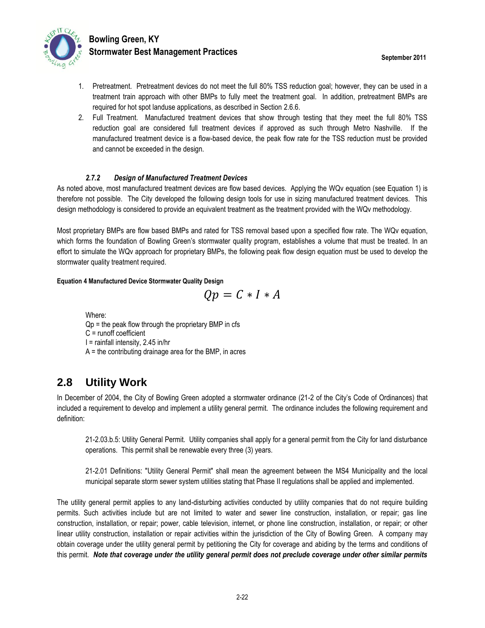

- 1. Pretreatment. Pretreatment devices do not meet the full 80% TSS reduction goal; however, they can be used in a treatment train approach with other BMPs to fully meet the treatment goal. In addition, pretreatment BMPs are required for hot spot landuse applications, as described in Section [2.6.6.](#page-19-0)
- 2. Full Treatment. Manufactured treatment devices that show through testing that they meet the full 80% TSS reduction goal are considered full treatment devices if approved as such through Metro Nashville. If the manufactured treatment device is a flow-based device, the peak flow rate for the TSS reduction must be provided and cannot be exceeded in the design.

#### *2.7.2 Design of Manufactured Treatment Devices*

As noted above, most manufactured treatment devices are flow based devices. Applying the WQv equation (see Equation 1) is therefore not possible. The City developed the following design tools for use in sizing manufactured treatment devices. This design methodology is considered to provide an equivalent treatment as the treatment provided with the WQv methodology.

Most proprietary BMPs are flow based BMPs and rated for TSS removal based upon a specified flow rate. The WQv equation, which forms the foundation of Bowling Green's stormwater quality program, establishes a volume that must be treated. In an effort to simulate the WQv approach for proprietary BMPs, the following peak flow design equation must be used to develop the stormwater quality treatment required.

#### **Equation 4 Manufactured Device Stormwater Quality Design**

$$
Qp = C * I * A
$$

Where:  $Qp =$  the peak flow through the proprietary BMP in cfs C = runoff coefficient  $I =$  rainfall intensity, 2.45 in/hr  $A =$  the contributing drainage area for the BMP, in acres

### **2.8 Utility Work**

In December of 2004, the City of Bowling Green adopted a stormwater ordinance (21-2 of the City's Code of Ordinances) that included a requirement to develop and implement a utility general permit. The ordinance includes the following requirement and definition:

21-2.03.b.5: Utility General Permit. Utility companies shall apply for a general permit from the City for land disturbance operations. This permit shall be renewable every three (3) years.

21-2.01 Definitions: "Utility General Permit" shall mean the agreement between the MS4 Municipality and the local municipal separate storm sewer system utilities stating that Phase II regulations shall be applied and implemented.

The utility general permit applies to any land-disturbing activities conducted by utility companies that do not require building permits. Such activities include but are not limited to water and sewer line construction, installation, or repair; gas line construction, installation, or repair; power, cable television, internet, or phone line construction, installation, or repair; or other linear utility construction, installation or repair activities within the jurisdiction of the City of Bowling Green. A company may obtain coverage under the utility general permit by petitioning the City for coverage and abiding by the terms and conditions of this permit. *Note that coverage under the utility general permit does not preclude coverage under other similar permits*